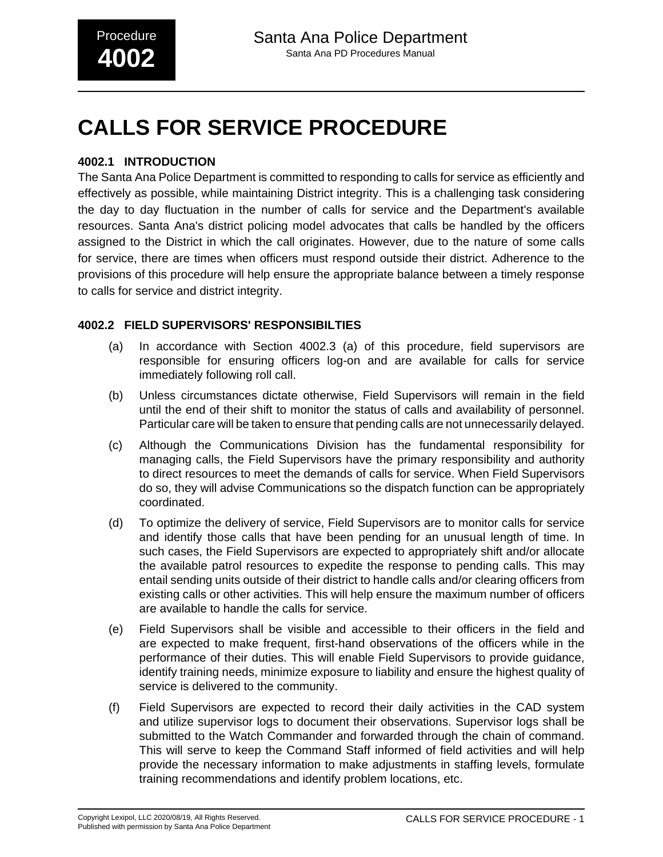# **CALLS FOR SERVICE PROCEDURE**

### **4002.1 INTRODUCTION**

The Santa Ana Police Department is committed to responding to calls for service as efficiently and effectively as possible, while maintaining District integrity. This is a challenging task considering the day to day fluctuation in the number of calls for service and the Department's available resources. Santa Ana's district policing model advocates that calls be handled by the officers assigned to the District in which the call originates. However, due to the nature of some calls for service, there are times when officers must respond outside their district. Adherence to the provisions of this procedure will help ensure the appropriate balance between a timely response to calls for service and district integrity.

#### **4002.2 FIELD SUPERVISORS' RESPONSIBILTIES**

- (a) In accordance with Section 4002.3 (a) of this procedure, field supervisors are responsible for ensuring officers log-on and are available for calls for service immediately following roll call.
- (b) Unless circumstances dictate otherwise, Field Supervisors will remain in the field until the end of their shift to monitor the status of calls and availability of personnel. Particular care will be taken to ensure that pending calls are not unnecessarily delayed.
- (c) Although the Communications Division has the fundamental responsibility for managing calls, the Field Supervisors have the primary responsibility and authority to direct resources to meet the demands of calls for service. When Field Supervisors do so, they will advise Communications so the dispatch function can be appropriately coordinated.
- (d) To optimize the delivery of service, Field Supervisors are to monitor calls for service and identify those calls that have been pending for an unusual length of time. In such cases, the Field Supervisors are expected to appropriately shift and/or allocate the available patrol resources to expedite the response to pending calls. This may entail sending units outside of their district to handle calls and/or clearing officers from existing calls or other activities. This will help ensure the maximum number of officers are available to handle the calls for service.
- (e) Field Supervisors shall be visible and accessible to their officers in the field and are expected to make frequent, first-hand observations of the officers while in the performance of their duties. This will enable Field Supervisors to provide guidance, identify training needs, minimize exposure to liability and ensure the highest quality of service is delivered to the community.
- (f) Field Supervisors are expected to record their daily activities in the CAD system and utilize supervisor logs to document their observations. Supervisor logs shall be submitted to the Watch Commander and forwarded through the chain of command. This will serve to keep the Command Staff informed of field activities and will help provide the necessary information to make adjustments in staffing levels, formulate training recommendations and identify problem locations, etc.